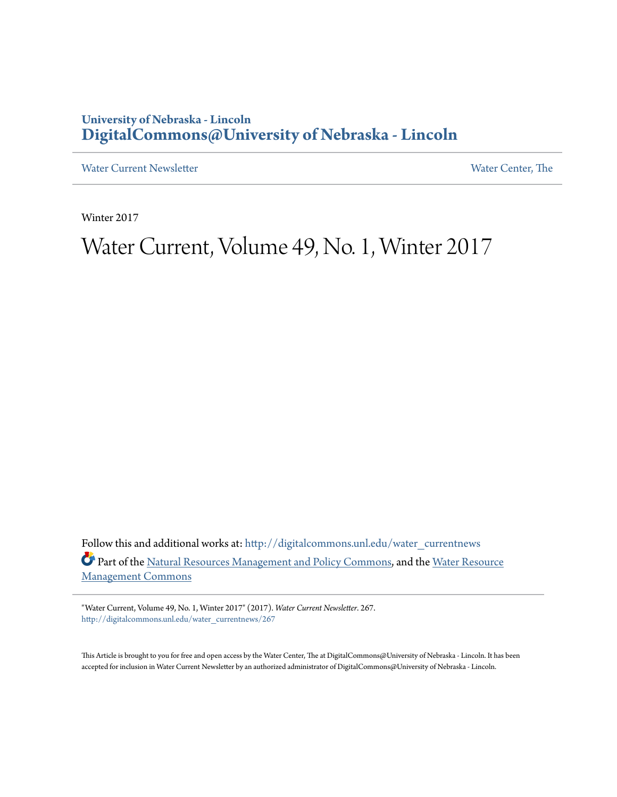### **University of Nebraska - Lincoln [DigitalCommons@University of Nebraska - Lincoln](http://digitalcommons.unl.edu?utm_source=digitalcommons.unl.edu%2Fwater_currentnews%2F267&utm_medium=PDF&utm_campaign=PDFCoverPages)**

[Water Current Newsletter](http://digitalcommons.unl.edu/water_currentnews?utm_source=digitalcommons.unl.edu%2Fwater_currentnews%2F267&utm_medium=PDF&utm_campaign=PDFCoverPages) [Water Center, The](http://digitalcommons.unl.edu/watercenter?utm_source=digitalcommons.unl.edu%2Fwater_currentnews%2F267&utm_medium=PDF&utm_campaign=PDFCoverPages) Water Center, The

Winter 2017

## Water Current, Volume 49, No. 1, Winter 2017

Follow this and additional works at: [http://digitalcommons.unl.edu/water\\_currentnews](http://digitalcommons.unl.edu/water_currentnews?utm_source=digitalcommons.unl.edu%2Fwater_currentnews%2F267&utm_medium=PDF&utm_campaign=PDFCoverPages) Part of the [Natural Resources Management and Policy Commons,](http://network.bepress.com/hgg/discipline/170?utm_source=digitalcommons.unl.edu%2Fwater_currentnews%2F267&utm_medium=PDF&utm_campaign=PDFCoverPages) and the [Water Resource](http://network.bepress.com/hgg/discipline/1057?utm_source=digitalcommons.unl.edu%2Fwater_currentnews%2F267&utm_medium=PDF&utm_campaign=PDFCoverPages) [Management Commons](http://network.bepress.com/hgg/discipline/1057?utm_source=digitalcommons.unl.edu%2Fwater_currentnews%2F267&utm_medium=PDF&utm_campaign=PDFCoverPages)

"Water Current, Volume 49, No. 1, Winter 2017" (2017). *Water Current Newsletter*. 267. [http://digitalcommons.unl.edu/water\\_currentnews/267](http://digitalcommons.unl.edu/water_currentnews/267?utm_source=digitalcommons.unl.edu%2Fwater_currentnews%2F267&utm_medium=PDF&utm_campaign=PDFCoverPages)

This Article is brought to you for free and open access by the Water Center, The at DigitalCommons@University of Nebraska - Lincoln. It has been accepted for inclusion in Water Current Newsletter by an authorized administrator of DigitalCommons@University of Nebraska - Lincoln.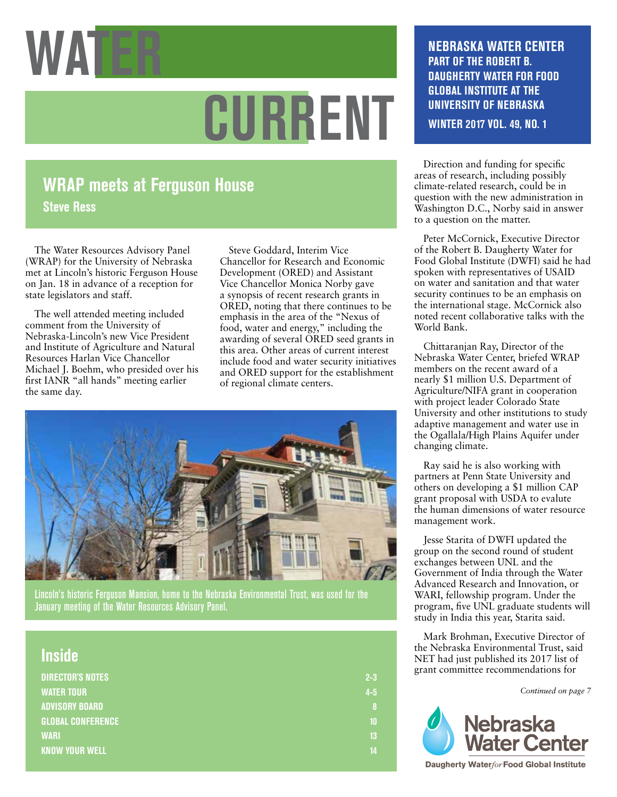

# **CURRENT**

### **WRAP meets at Ferguson House Steve Ress**

The Water Resources Advisory Panel (WRAP) for the University of Nebraska met at Lincoln's historic Ferguson House on Jan. 18 in advance of a reception for state legislators and staff.

The well attended meeting included comment from the University of Nebraska-Lincoln's new Vice President and Institute of Agriculture and Natural Resources Harlan Vice Chancellor Michael J. Boehm, who presided over his first IANR "all hands" meeting earlier the same day.

Steve Goddard, Interim Vice Chancellor for Research and Economic Development (ORED) and Assistant Vice Chancellor Monica Norby gave a synopsis of recent research grants in ORED, noting that there continues to be emphasis in the area of the "Nexus of food, water and energy," including the awarding of several ORED seed grants in this area. Other areas of current interest include food and water security initiatives and ORED support for the establishment of regional climate centers.



Lincoln's historic Ferguson Mansion, home to the Nebraska Environmental Trust, was used for the January meeting of the Water Resources Advisory Panel.

| <b>Inside</b>            |         |
|--------------------------|---------|
| <b>DIRECTOR'S NOTES</b>  | $2 - 3$ |
| <b>WATER TOUR</b>        | $4-5$   |
| <b>ADVISORY BOARD</b>    | 8       |
| <b>GLOBAL CONFERENCE</b> | 10      |
| <b>WARI</b>              | 13      |
| <b>KNOW YOUR WELL</b>    | 14      |
|                          |         |

### **NEBRASKA WATER CENTER PART OF THE ROBERT B. DAUGHERTY WATER FOR FOOD GLOBAL INSTITUTE AT THE UNIVERSITY OF NEBRASKA**

**WINTER 2017 VOL. 49, NO. 1**

Direction and funding for specific areas of research, including possibly climate-related research, could be in question with the new administration in Washington D.C., Norby said in answer to a question on the matter.

Peter McCornick, Executive Director of the Robert B. Daugherty Water for Food Global Institute (DWFI) said he had spoken with representatives of USAID on water and sanitation and that water security continues to be an emphasis on the international stage. McCornick also noted recent collaborative talks with the World Bank.

Chittaranjan Ray, Director of the Nebraska Water Center, briefed WRAP members on the recent award of a nearly \$1 million U.S. Department of Agriculture/NIFA grant in cooperation with project leader Colorado State University and other institutions to study adaptive management and water use in the Ogallala/High Plains Aquifer under changing climate.

Ray said he is also working with partners at Penn State University and others on developing a \$1 million CAP grant proposal with USDA to evalute the human dimensions of water resource management work.

Jesse Starita of DWFI updated the group on the second round of student exchanges between UNL and the Government of India through the Water Advanced Research and Innovation, or WARI, fellowship program. Under the program, five UNL graduate students will study in India this year, Starita said.

Mark Brohman, Executive Director of the Nebraska Environmental Trust, said NET had just published its 2017 list of grant committee recommendations for

*Continued on page 7*



**Daugherty Water***for***Food Global Institute**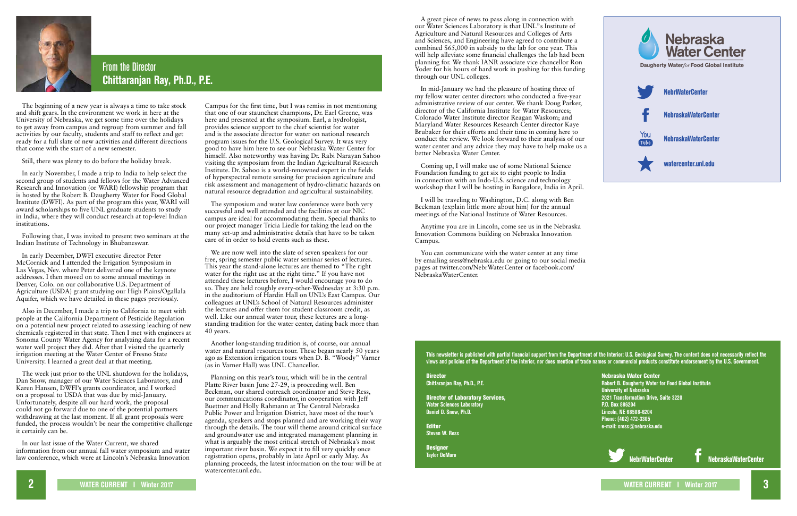**2 WATER CURRENT I Winter 2017 WATER CURRENT I Winter 2017 3**



### From the Director **Chittaranjan Ray, Ph.D., P.E.**

The beginning of a new year is always a time to take stock and shift gears. In the environment we work in here at the University of Nebraska, we get some time over the holidays to get away from campus and regroup from summer and fall activities by our faculty, students and staff to reflect and get ready for a full slate of new activities and different directions that come with the start of a new semester.

Still, there was plenty to do before the holiday break.

In early November, I made a trip to India to help select the second group of students and fellows for the Water Advanced Research and Innovation (or WARI) fellowship program that is hosted by the Robert B. Daugherty Water for Food Global Institute (DWFI). As part of the program this year, WARI will award scholarships to five UNL graduate students to study in India, where they will conduct research at top-level Indian institutions.

Following that, I was invited to present two seminars at the Indian Institute of Technology in Bhubaneswar.

In early December, DWFI executive director Peter McCornick and I attended the Irrigation Symposium in Las Vegas, Nev. where Peter delivered one of the keynote addresses. I then moved on to some annual meetings in Denver, Colo. on our collaborative U.S. Department of Agriculture (USDA) grant studying our High Plains/Ogallala Aquifer, which we have detailed in these pages previously.

Also in December, I made a trip to California to meet with people at the California Department of Pesticide Regulation on a potential new project related to assessing leaching of new chemicals registered in that state. Then I met with engineers at Sonoma County Water Agency for analyzing data for a recent water well project they did. After that I visited the quarterly irrigation meeting at the Water Center of Fresno State University. I learned a great deal at that meeting.

The week just prior to the UNL shutdown for the holidays, Dan Snow, manager of our Water Sciences Laboratory, and Karen Hansen, DWFI's grants coordinator, and I worked on a proposal to USDA that was due by mid-January. Unfortunately, despite all our hard work, the proposal could not go forward due to one of the potential partners withdrawing at the last moment. If all grant proposals were funded, the process wouldn't be near the competitive challenge it certainly can be.

In our last issue of the Water Current, we shared information from our annual fall water symposium and water law conference, which were at Lincoln's Nebraska Innovation **Director Chittaranjan Ray, Ph.D., P.E.**

**Designer Taylor DeMaro**

Campus for the first time, but I was remiss in not mentioning that one of our staunchest champions, Dr. Earl Greene, was here and presented at the symposium. Earl, a hydrologist, provides science support to the chief scientist for water and is the associate director for water on national research program issues for the U.S. Geological Survey. It was very good to have him here to see our Nebraska Water Center for himself. Also noteworthy was having Dr. Rabi Narayan Sahoo visiting the symposium from the Indian Agricultural Research Institute. Dr. Sahoo is a world-renowned expert in the fields of hyperspectral remote sensing for precision agriculture and risk assessment and management of hydro-climatic hazards on natural resource degradation and agricultural sustainability.

The symposium and water law conference were both very successful and well attended and the facilities at our NIC campus are ideal for accommodating them. Special thanks to our project manager Tricia Liedle for taking the lead on the many set-up and administrative details that have to be taken care of in order to hold events such as these.

We are now well into the slate of seven speakers for our free, spring semester public water seminar series of lectures. This year the stand-alone lectures are themed to "The right water for the right use at the right time." If you have not attended these lectures before, I would encourage you to do so. They are held roughly every-other-Wednesday at 3:30 p.m. in the auditorium of Hardin Hall on UNL's East Campus. Our colleagues at UNL's School of Natural Resources administer the lectures and offer them for student classroom credit, as well. Like our annual water tour, these lectures are a longstanding tradition for the water center, dating back more than 40 years.

Another long-standing tradition is, of course, our annual water and natural resources tour. These began nearly 50 years ago as Extension irrigation tours when D. B. "Woody" Varner (as in Varner Hall) was UNL Chancellor.

Planning on this year's tour, which will be in the central Platte River basin June 27-29, is proceeding well. Ben Beckman, our shared outreach coordinator and Steve Ress, our communications coordinator, in cooperation with Jeff Buettner and Holly Rahmann at The Central Nebraska Public Power and Irrigation District, have most of the tour's agenda, speakers and stops planned and are working their way through the details. The tour will theme around critical surface and groundwater use and integrated management planning in what is arguably the most critical stretch of Nebraska's most important river basin. We expect it to fill very quickly once registration opens, probably in late April or early May. As planning proceeds, the latest information on the tour will be at watercenter.unl.edu.

**This newsletter is published with partial financial support from the Department of the Interior; U.S. Geological Survey. The content does not necessarily reflect the views and policies of the Department of the Interior, nor does mention of trade names or commercial products constitute endorsement by the U.S. Government.**

Director of Laboratory Services, **Water Sciences Laboratory Daniel D. Snow, Ph.D.**

Editor **Steven W. Ress**

Nebraska Water Center **Robert B. Daugherty Water for Food Global Institute University of Nebraska 2021 Transformation Drive, Suite 3220 P.O. Box 886204 Lincoln, NE 68588-6204 Phone: (402) 472-3305 e-mail: sress@nebraska.edu**





A great piece of news to pass along in connection with our Water Sciences Laboratory is that UNL"s Institute of Agriculture and Natural Resources and Colleges of Arts and Sciences, and Engineering have agreed to contribute a combined \$65,000 in subsidy to the lab for one year. This will help alleviate some financial challenges the lab had been planning for. We thank IANR associate vice chancellor Ron Yoder for his hours of hard work in pushing for this funding through our UNL colleges.

In mid-January we had the pleasure of hosting three of my fellow water center directors who conducted a five-year administrative review of our center. We thank Doug Parker, director of the California Institute for Water Resources; Colorado Water Institute director Reagan Waskom; and Maryland Water Resources Research Center director Kaye Brubaker for their efforts and their time in coming here to conduct the review. We look forward to their analysis of our water center and any advice they may have to help make us a better Nebraska Water Center.

Coming up, I will make use of some National Science Foundation funding to get six to eight people to India in connection with an Indo-U.S. science and technology workshop that I will be hosting in Bangalore, India in April.

I will be traveling to Washington, D.C. along with Ben Beckman (explain little more about him) for the annual meetings of the National Institute of Water Resources.

Anytime you are in Lincoln, come see us in the Nebraska Innovation Commons building on Nebraska Innovation Campus.

You can communicate with the water center at any time by emailing sress@nebraska.edu or going to our social media pages at twitter.com/NebrWaterCenter or facebook.com/ NebraskaWaterCenter.

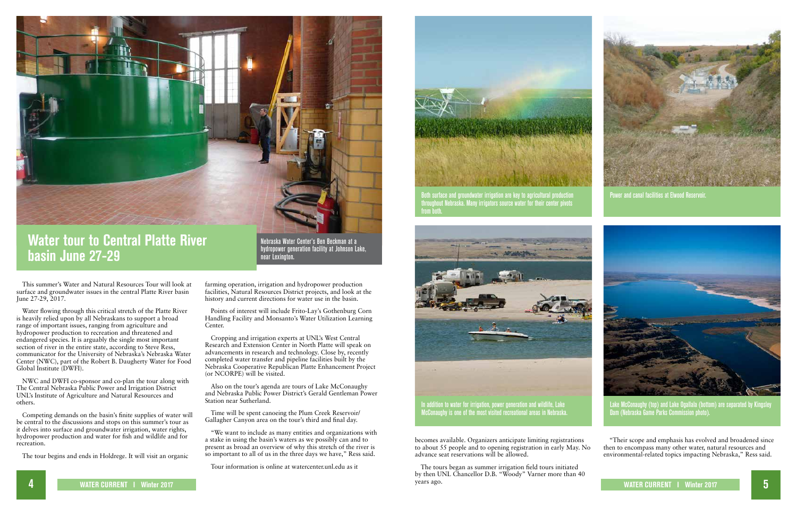

McConaughy is one of the most visited recreational areas in Nebraska.

Both surface and groundwater irrigation are key to agricultural production **Power and canal facilities at Elwood Reservo** throughout Nebraska. Many irrigators sourc<u>e water for their center pivots</u> from both.



Lake McConaughy (top) and Lake Ogallala (bottom) are separated by Kingsley Dam (Nebraska Game Parks Commission photo).



# **Water tour to Central Platte River basin June 27-29**

This summer's Water and Natural Resources Tour will look at surface and groundwater issues in the central Platte River basin June 27-29, 2017.

Water flowing through this critical stretch of the Platte River is heavily relied upon by all Nebraskans to support a broad range of important issues, ranging from agriculture and hydropower production to recreation and threatened and endangered species. It is arguably the single most important section of river in the entire state, according to Steve Ress, communicator for the University of Nebraska's Nebraska Water Center (NWC), part of the Robert B. Daugherty Water for Food Global Institute (DWFI).

NWC and DWFI co-sponsor and co-plan the tour along with The Central Nebraska Public Power and Irrigation District UNL's Institute of Agriculture and Natural Resources and others.

Competing demands on the basin's finite supplies of water will be central to the discussions and stops on this summer's tour as it delves into surface and groundwater irrigation, water rights, hydropower production and water for fish and wildlife and for recreation.

**4 WATER CURRENT I Winter 2017 WATER CURRENT I Winter 2017 5** The tours began as summer irrigation field tours initiated by then UNL Chancellor D.B. "Woody" Varner more than 40 years ago.



The tour begins and ends in Holdrege. It will visit an organic

farming operation, irrigation and hydropower production facilities, Natural Resources District projects, and look at the history and current directions for water use in the basin.

Points of interest will include Frito-Lay's Gothenburg Corn Handling Facility and Monsanto's Water Utilization Learning Center.

Cropping and irrigation experts at UNL's West Central Research and Extension Center in North Platte will speak on advancements in research and technology. Close by, recently completed water transfer and pipeline facilities built by the Nebraska Cooperative Republican Platte Enhancement Project (or NCORPE) will be visited.

Also on the tour's agenda are tours of Lake McConaughy and Nebraska Public Power District's Gerald Gentleman Power Station near Sutherland.

Time will be spent canoeing the Plum Creek Reservoir/ Gallagher Canyon area on the tour's third and final day.

"We want to include as many entities and organizations with a stake in using the basin's waters as we possibly can and to present as broad an overview of why this stretch of the river is so important to all of us in the three days we have," Ress said.

Tour information is online at watercenter.unl.edu as it



Nebraska Water Center's Ben Beckman at a hydropower generation facility at Johnson Lake, near Lexington.

> becomes available. Organizers anticipate limiting registrations to about 55 people and to opening registration in early May. No advance seat reservations will be allowed.

"Their scope and emphasis has evolved and broadened since then to encompass many other water, natural resources and environmental-related topics impacting Nebraska," Ress said.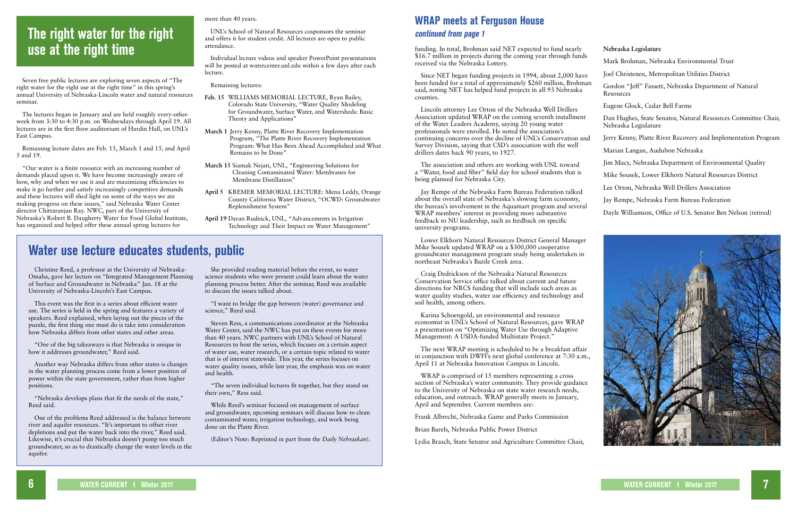### **Water use lecture educates students, public**

Christine Reed, a professor at the University of Nebraska-Omaha, gave her lecture on "Integrated Management Planning of Surface and Groundwater in Nebraska" Jan. 18 at the University of Nebraska-Lincoln's East Campus.

This event was the first in a series about efficient water use. The series is held in the spring and features a variety of speakers. Reed explained, when laying out the pieces of the puzzle, the first thing one must do is take into consideration how Nebraska differs from other states and other areas.

"One of the big takeaways is that Nebraska is unique in how it addresses groundwater," Reed said.

Another way Nebraska differs from other states is changes in the water planning process come from a lower position of power within the state government, rather than from higher positions.

"Nebraska develops plans that fit the needs of the state," Reed said.

One of the problems Reed addressed is the balance between river and aquifer resources. "It's important to offset river depletions and put the water back into the river," Reed said. Likewise, it's crucial that Nebraska doesn't pump too much groundwater, so as to drastically change the water levels in the aquifer.

She provided reading material before the event, so water science students who were present could learn about the water planning process better. After the seminar, Reed was available to discuss the issues talked about.

"I want to bridge the gap between (water) governance and science," Reed said.

Steven Ress, a communications coordinator at the Nebraska Water Center, said the NWC has put on these events for more than 40 years. NWC partners with UNL's School of Natural Resources to host the series, which focuses on a certain aspect of water use, water research, or a certain topic related to water that is of interest statewide. This year, the series focuses on water quality issues, while last year, the emphasis was on water and health.

"The seven individual lectures fit together, but they stand on their own," Ress said.

While Reed's seminar focused on management of surface and groundwater, upcoming seminars will discuss how to clean contaminated water, irrigation technology, and work being done on the Platte River.

(Editor's Note: Reprinted in part from the *Daily Nebraskan*).

# **The right water for the right use at the right time**

Lincoln attorney Lee Orton of the Nebraska Well Drillers Association updated WRAP on the coming seventh installment of the Water Leaders Academy, saying 20 young water professionals were enrolled. He noted the association's continuing concerns over the decline of UNL's Conservation and Survey Division, saying that CSD's association with the well drillers dates back 90 years, to 1927.

Seven free public lectures are exploring seven aspects of "The right water for the right use at the right time" in this spring's annual University of Nebraska-Lincoln water and natural resources seminar.

The lectures began in January and are held roughly every-otherweek from 3:30 to 4:30 p.m. on Wednesdays through April 19. All lectures are in the first floor auditorium of Hardin Hall, on UNL's East Campus.

Remaining lecture dates are Feb. 15, March 1 and 15, and April 5 and 19.

"Our water is a finite resource with an increasing number of demands placed upon it. We have become increasingly aware of how, why and when we use it and are maximizing efficiencies to make it go further and satisfy increasingly competitive demands and these lectures will shed light on some of the ways we are making progress on these issues," said Nebraska Water Center director Chittaranjan Ray. NWC, part of the University of Nebraska's Robert B. Daugherty Water for Food Global Institute, has organized and helped offer these annual spring lectures for

more than 40 years.

UNL's School of Natural Resources cosponsors the seminar and offers it for student credit. All lectures are open to public attendance.

Individual lecture videos and speaker PowerPoint presentations will be posted at watercenter.unl.edu within a few days after each lecture.

Remaining lectures:

- **Feb. 15** WILLIAMS MEMORIAL LECTURE, Ryan Bailey, Colorado State University, "Water Quality Modeling for Groundwater, Surface Water, and Watersheds: Basic Theory and Applications"
- **March 1** Jerry Kenny, Platte River Recovery Implementation Program, "The Platte River Recovery Implementation Program: What Has Been Ahead Accomplished and What Remains to be Done"
- **March 15** Siamak Nejati, UNL, "Engineering Solutions for Cleaning Contaminated Water: Membranes for Membrane Distillation"
- **April 5** KREMER MEMORIAL LECTURE: Menu Leddy, Orange County California Water District, "OCWD: Groundwater Replenishment System"
- **April 19** Daran Rudnick, UNL, "Advancements in Irrigation Technology and Their Impact on Water Management"

### **WRAP meets at Ferguson House continued from page 1**

funding. In total, Brohman said NET expected to fund nearly \$16.7 million in projects during the coming year through fund received via the Nebraska Lottery.

Since NET began funding projects in 1994, about 2,000 have been funded for a total of approximately \$260 million, Brohman said, noting NET has helped fund projects in all 93 Nebraska counties.

The association and others are working with UNL toward a "Water, food and fiber" field day for school students that is being planned for Nebraska City.

Jay Rempe of the Nebraska Farm Bureau Federation talked about the overall state of Nebraska's slowing farm economy, the bureau's involvement in the Aquamart program and several WRAP members' interest in providing more substantive feedback to NU leadership, such as feedback on specific university programs.

Lower Elkhorn Natural Resources District General Manager Mike Sousek updated WRAP on a \$300,000 cooperative groundwater management program study being undertaken in northeast Nebraska's Bazile Creek area.

Craig Dedrickson of the Nebraska Natural Resources Conservation Service office talked about current and future directions for NRCS funding that will include such areas as water quality studies, water use efficiency and technology and soil health, among others.

Karina Schoengold, an environmental and resource economist in UNL's School of Natural Resources, gave WRAP a presentation on "Optimizing Water Use through Adaptive Management: A USDA-funded Multistate Project."

The next WRAP meeting is scheduled to be a breakfast affair in conjunction with DWFI's next global conference at 7:30 a.m., April 11 at Nebraska Innovation Campus in Lincoln.

WRAP is comprised of 15 members representing a cross section of Nebraska's water community. They provide guidance to the University of Nebraska on state water research needs, education, and outreach. WRAP generally meets in January, April and September. Current members are:

Frank Albrecht, Nebraska Game and Parks Commission

Brian Barels, Nebraska Public Power District

Lydia Brasch, State Senator and Agriculture Committee Chair,

|    | Nebraska Legislature                                                                  |
|----|---------------------------------------------------------------------------------------|
|    | Mark Brohman, Nebraska Environmental Trust                                            |
| e  | Joel Christenen, Metropolitan Utilities District                                      |
| an | Gordon "Jeff" Fassett, Nebraska Department of Natural<br>Resources                    |
|    | Eugene Glock, Cedar Bell Farms                                                        |
|    | Dan Hughes, State Senator, Natural Resources Committee Chair,<br>Nebraska Legislature |
| ıd | Jerry Kenny, Platte River Recovery and Implementation Program                         |
|    | Marian Langan, Audubon Nebraska                                                       |
|    | Jim Macy, Nebraska Department of Environmental Quality                                |
|    | Mike Sousek, Lower Elkhorn Natural Resources District                                 |
|    | Lee Orton, Nebraska Well Drillers Association                                         |
|    | Jay Rempe, Nebraska Farm Bureau Federation                                            |
|    | Dayle Williamson, Office of U.S. Senator Ben Nelson (retired)                         |
|    |                                                                                       |

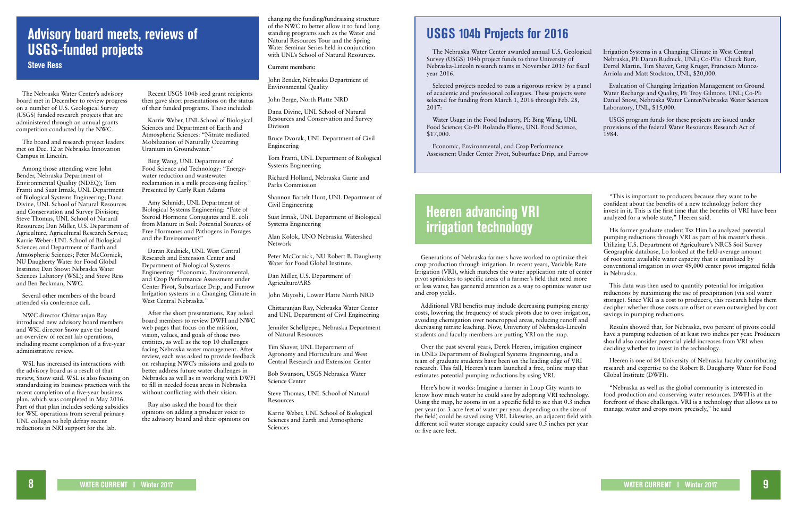### **Advisory board meets, reviews of USGS-funded projects Steve Ress**

The Nebraska Water Center's advisory board met in December to review progress on a number of U.S. Geological Survey (USGS) funded research projects that are administered through an annual grants competition conducted by the NWC.

The board and research project leaders met on Dec. 12 at Nebraska Innovation Campus in Lincoln.

Among those attending were John Bender, Nebraska Department of Environmental Quality (NDEQ); Tom Franti and Suat Irmak, UNL Department of Biological Systems Engineering; Dana Divine, UNL School of Natural Resources and Conservation and Survey Division; Steve Thomas, UNL School of Natural Resources; Dan Miller, U.S. Department of Agriculture, Agricultural Research Service; Karrie Weber: UNL School of Biological Sciences and Department of Earth and Atmospheric Sciences; Peter McCornick, NU Daugherty Water for Food Global Institute; Dan Snow: Nebraska Water Sciences Labatory (WSL); and Steve Ress and Ben Beckman, NWC.

Several other members of the board attended via conference call.

NWC director Chittaranjan Ray introduced new advisory board members and WSL director Snow gave the board an overview of recent lab operations, including recent completion of a five-year administrative review.

WSL has increased its interactions with the advisory board as a result of that review, Snow said. WSL is also focusing on standardizing its business practices with the recent completion of a five-year business plan, which was completed in May 2016. Part of that plan includes seeking subsidies for WSL operations from several primary UNL colleges to help defray recent reductions in NRI support for the lab.

Recent USGS 104b seed grant recipients then gave short presentations on the status of their funded programs. These included:

Karrie Weber, UNL School of Biological Sciences and Department of Earth and Atmospheric Sciences: "Nitrate mediated Mobilization of Naturally Occurring Uranium in Groundwater."

Bing Wang, UNL Department of Food Science and Technology: "Energywater reduction and wastewater reclamation in a milk processing facility." Presented by Carly Rain Adams

> Steve Thomas, UNL School of Natural **Resources**

Amy Schmidt, UNL Department of Biological Systems Engineering: "Fate of Steroid Hormone Conjugates and E. coli from Manure in Soil: Potential Sources of Free Hormones and Pathogens in Forages and the Environment?"

Daran Rudnick, UNL West Central Research and Extension Center and Department of Biological Systems Engineering: "Economic, Environmental, and Crop Performance Assessment under Center Pivot, Subsurface Drip, and Furrow Irrigation systems in a Changing Climate in West Central Nebraska."

After the short presentations, Ray asked board members to review DWFI and NWC web pages that focus on the mission, vision, values, and goals of those two entitites, as well as the top 10 challenges facing Nebraska water management. After review, each was asked to provide feedback on reshaping NWC's missions and goals to better address future water challenges in Nebraska as well as in working with DWFI to fill in needed focus areas in Nebraska without conflicting with their vision.

Ray also asked the board for their opinions on adding a producer voice to the advisory board and their opinions on

changing the funding/fundraising structure of the NWC to better allow it to fund long standing programs such as the Water and Natural Resources Tour and the Spring Water Seminar Series held in conjunction with UNL's School of Natural Resources.

#### **Current members:**

John Bender, Nebraska Department of Environmental Quality

John Berge, North Platte NRD

Dana Divine, UNL School of Natural Resources and Conservation and Survey Division

Bruce Dvorak, UNL Department of Civil Engineering

Tom Franti, UNL Department of Biological Systems Engineering

Richard Holland, Nebraska Game and Parks Commission

Shannon Bartelt Hunt, UNL Department of Civil Engineering

Suat Irmak, UNL Department of Biological Systems Engineering

Alan Kolok, UNO Nebraska Watershed Network

Peter McCornick, NU Robert B. Daugherty Water for Food Global Institute.

Dan Miller, U.S. Department of Agriculture/ARS

John Miyoshi, Lower Platte North NRD

Chittaranjan Ray, Nebraska Water Center and UNL Department of Civil Engineering

Jennifer Schellpeper, Nebraska Department of Natural Resources

Tim Shaver, UNL Department of Agronomy and Horticulture and West Central Research and Extension Center

Bob Swanson, USGS Nebraska Water Science Center

Karrie Weber, UNL School of Biological Sciences and Earth and Atmospheric Sciences

# **Heeren advancing VRI irrigation technology**

Generations of Nebraska farmers have worked to optimize their crop production through irrigation. In recent years, Variable Rate Irrigation (VRI), which matches the water application rate of center pivot sprinklers to specific areas of a farmer's field that need more or less water, has garnered attention as a way to optimize water use and crop yields.

Additional VRI benefits may include decreasing pumping energy costs, lowering the frequency of stuck pivots due to over irrigation, avoiding chemigation over noncropped areas, reducing runoff and decreasing nitrate leaching. Now, University of Nebraska-Lincoln students and faculty members are putting VRI on the map.

Over the past several years, Derek Heeren, irrigation engineer in UNL's Department of Biological Systems Engineering, and a team of graduate students have been on the leading edge of VRI research. This fall, Heeren's team launched a free, online map that estimates potential pumping reductions by using VRI.

Here's how it works: Imagine a farmer in Loup City wants to know how much water he could save by adopting VRI technology. Using the map, he zooms in on a specific field to see that 0.3 inches per year (or 3 acre feet of water per year, depending on the size of the field) could be saved using VRI. Likewise, an adjacent field with different soil water storage capacity could save 0.5 inches per year or five acre feet.

"This is important to producers because they want to be confident about the benefits of a new technology before they invest in it. This is the first time that the benefits of VRI have been analyzed for a whole state," Heeren said.

His former graduate student Tsz Him Lo analyzed potential pumping reductions through VRI as part of his master's thesis. Utilizing U.S. Department of Agriculture's NRCS Soil Survey Geographic database, Lo looked at the field-average amount of root zone available water capacity that is unutilized by conventional irrigation in over 49,000 center pivot irrigated fields in Nebraska.

This data was then used to quantify potential for irrigation reductions by maximizing the use of precipitation (via soil water storage). Since VRI is a cost to producers, this research helps them decipher whether those costs are offset or even outweighed by cost savings in pumping reductions.

Results showed that, for Nebraska, two percent of pivots could have a pumping reduction of at least two inches per year. Producers should also consider potential yield increases from VRI when deciding whether to invest in the technology.

Heeren is one of 84 University of Nebraska faculty contributing research and expertise to the Robert B. Daugherty Water for Food Global Institute (DWFI).

"Nebraska as well as the global community is interested in food production and conserving water resources. DWFI is at the forefront of these challenges. VRI is a technology that allows us to manage water and crops more precisely," he said

### **USGS 104b Projects for 2016**

The Nebraska Water Center awarded annual U.S. Geological Survey (USGS) 104b project funds to three University of Nebraska-Lincoln research teams in November 2015 for fiscal year 2016. Irrigation Systems in a Changing Climate in West Central Nebraska, PI: Daran Rudnick, UNL; Co-PI's: Chuck Burr, Derrel Martin, Tim Shaver, Greg Kruger, Francisco Munoz-Arriola and Matt Stockton, UNL, \$20,000.

Water Usage in the Food Industry, PI: Bing Wang, UNL Food Science; Co-PI: Rolando Flores, UNL Food Science, \$17,000.

Economic, Environmental, and Crop Performance Assessment Under Center Pivot, Subsurface Drip, and Furrow

Selected projects needed to pass a rigorous review by a panel of academic and professional colleagues. These projects were selected for funding from March 1, 2016 through Feb. 28, 2017: Evaluation of Changing Irrigation Management on Ground Water Recharge and Quality, PI: Troy Gilmore, UNL; Co-PI: Daniel Snow, Nebraska Water Center/Nebraska Water Sciences Laboratory, UNL, \$15,000.

> USGS program funds for these projects are issued under provisions of the federal Water Resources Research Act of 1984.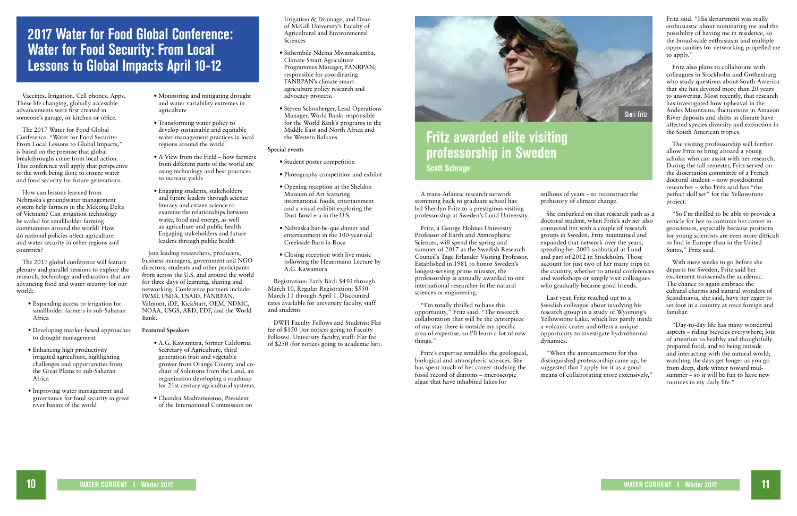# **2017 Water for Food Global Conference: Water for Food Security: From Local Lessons to Global Impacts April 10-12**

Vaccines. Irrigation. Cell phones. Apps. These life changing, globally accessible advancements were first created in someone's garage, or kitchen or office.

The 2017 Water for Food Global Conference, "Water for Food Security: From Local Lessons to Global Impacts," is based on the premise that global breakthroughs come from local action. This conference will apply that perspective to the work being done to ensure water and food security for future generations.

How can lessons learned from Nebraska's groundwater management system help farmers in the Mekong Delta of Vietnam? Can irrigation technology be scaled for smallholder farming communities around the world? How do national policies affect agriculture and water security in other regions and countries?

The 2017 global conference will feature plenary and parallel sessions to explore the research, technology and education that are advancing food and water security for our world:

- Expanding access to irrigation for smallholder farmers in sub-Saharan Africa
- Developing market-based approaches to drought management
- Enhancing high productivity irrigated agriculture, highlighting challenges and opportunities from the Great Plains to sub-Saharan Africa
- Improving water management and governance for food security in great river basins of the world

Irrigation & Drainage, and Dean of McGill University's Faculty of Agricultural and Environmental **Sciences** 

- Monitoring and mitigating drought and water variability extremes in agriculture
- Transforming water policy to develop sustainable and equitable water management practices in local regions around the world
- A View from the Field how farmers from different parts of the world are using technology and best practices to increase yields
- Engaging students, stakeholders and future leaders through science literacy and citizen science to examine the relationships between water, food and energy, as well as agriculture and public health Engaging stakeholders and future leaders through public health

Join leading researchers, producers, business managers, government and NGO directors, students and other participants from across the U.S. and around the world for three days of learning, sharing and networking. Conference partners include: IWMI, USDA, USAID, FANRPAN, Valmont, iDE, KickStart, OEM, NDMC, NOAA, USGS, ARD, EDF, and the World Bank.

#### **Featured Speakers**

- A.G. Kawamura, former California Secretary of Agriculture, third generation fruit and vegetable grower from Orange County and cochair of Solutions from the Land, an organization developing a roadmap for 21st century agricultural systems.
- Chandra Madramootoo, President of the International Commission on
- Sithembile Ndema Mwamakamba, Climate Smart Agriculture Programmes Manager, FANRPAN; responsible for coordinating FANRPAN's climate smart agriculture policy research and advocacy projects.
- Steven Schonberger, Lead Operations Manager, World Bank; responsible for the World Bank's programs in the Middle East and North Africa and the Western Balkans.

#### **Special events**

- Student poster competition
- Photography competition and exhibit
- Opening reception at the Sheldon Museum of Art featuring international foods, entertainment and a visual exhibit exploring the Dust Bowl era in the U.S.
- Nebraska bar-be-que dinner and entertainment in the 100-year-old Creekside Barn in Roca
- Closing reception with live music following the Heuermann Lecture by A.G. Kawamura

Registration: Early Bird: \$450 through March 10. Regular Registration: \$550 March 11 through April 1. Discounted rates available for university faculty, staff and students

DWFI Faculty Fellows and Students: Flat fee of \$150 (for notices going to Faculty Fellows). University faculty, staff: Flat fee of \$250 (for notices going to academic list).

A trans-Atlantic research network stemming back to graduate school has led Sherilyn Fritz to a prestigious visiting professorship at Sweden's Lund University.

Fritz, a George Holmes University Professor of Earth and Atmospheric Sciences, will spend the spring and summer of 2017 as the Swedish Research Council's Tage Erlander Visiting Professor. Established in 1981 to honor Sweden's longest-serving prime minister, the professorship is annually awarded to one international researcher in the natural sciences or engineering.

"I'm totally thrilled to have this opportunity," Fritz said. "The research collaboration that will be the centerpiece of my stay there is outside my specific area of expertise, so I'll learn a lot of new things."

Fritz's expertise straddles the geological, biological and atmospheric sciences. She has spent much of her career studying the fossil record of diatoms – microscopic algae that have inhabited lakes for

### **Fritz awarded elite visiting professorship in Sweden Scott Schrage**

millions of years – to reconstruct the prehistory of climate change.

She embarked on that research path as a doctoral student, when Fritz's adviser also connected her with a couple of research groups in Sweden. Fritz maintained and expanded that network over the years, spending her 2003 sabbatical at Lund and part of 2012 in Stockholm. Those account for just two of her many trips to the country, whether to attend conferences and workshops or simply visit colleagues who gradually became good friends.

Last year, Fritz reached out to a Swedish colleague about involving his research group in a study of Wyoming's Yellowstone Lake, which lies partly inside a volcanic crater and offers a unique opportunity to investigate hydrothermal dynamics.

"When the announcement for this distinguished professorship came up, he suggested that I apply for it as a good means of collaborating more extensively,"

Fritz said. "His department was really enthusiastic about nominating me and the possibility of having me in residence, so the broad-scale enthusiasm and multiple opportunities for networking propelled me to apply."

Fritz also plans to collaborate with colleagues in Stockholm and Gothenburg who study questions about South America that she has devoted more than 20 years to answering. Most recently, that research has investigated how upheaval in the Andes Mountains, fluctuations in Amazon River deposits and shifts in climate have affected species diversity and extinction in the South American tropics.

The visiting professorship will further allow Fritz to bring aboard a young scholar who can assist with her research. During the fall semester, Fritz served on the dissertation committee of a French doctoral student – now postdoctoral researcher – who Fritz said has "the perfect skill set" for the Yellowstone project.

"So I'm thrilled to be able to provide a vehicle for her to continue her career in geosciences, especially because positions for young scientists are even more difficult to find in Europe than in the United States," Fritz said.

With mere weeks to go before she departs for Sweden, Fritz said her excitement transcends the academic. The chance to again embrace the cultural charms and natural wonders of Scandinavia, she said, have her eager to set foot in a country at once foreign and familiar.

"Day-to-day life has many wonderful aspects – riding bicycles everywhere; lots of attention to healthy and thoughtfully prepared food, and to being outside and interacting with the natural world; watching the days get longer as you go from deep, dark winter toward midsummer – so it will be fun to have new routines in my daily life."

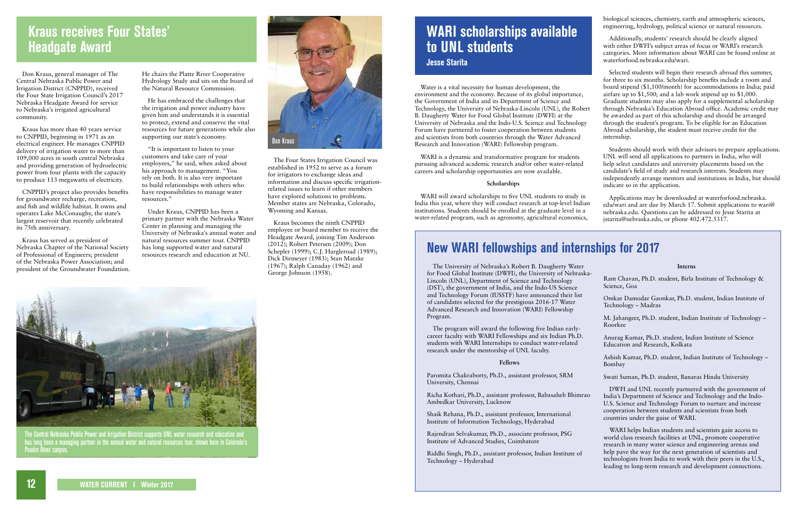# **New WARI fellowships and internships for 2017**

The University of Nebraska's Robert B. Daugherty Water for Food Global Institute (DWFI), the University of Nebraska-Lincoln (UNL), Department of Science and Technology (DST), the government of India, and the Indo-US Science and Technology Forum (IUSSTF) have announced their list of candidates selected for the prestigious 2016-17 Water Advanced Research and Innovation (WARI) Fellowship Program.

The program will award the following five Indian earlycareer faculty with WARI Fellowships and six Indian Ph.D. students with WARI Internships to conduct water-related research under the mentorship of UNL faculty.

### **Fellows**

Paromita Chakraborty, Ph.D., assistant professor, SRM University, Chennai

Shaik Rehana, Ph.D., assistant professor, International Institute of Information Technology, Hyderabad

Rajendran Selvakumar, Ph.D., associate professor, PSG Institute of Advanced Studies, Coimbatore

Riddhi Singh, Ph.D., assistant professor, Indian Institute of Technology – Hyderabad

| Interns |
|---------|
|---------|

| Ram Chavan, Ph.D. student, Birla Institute of Technology &<br>Science, Goa       |
|----------------------------------------------------------------------------------|
| Omkar Damodar Gaonkar, Ph.D. student, Indian Institute of<br>Technology – Madras |

Richa Kothari, Ph.D., assistant professor, Babasaheb Bhimrao Ambedkar University, Lucknow DWFI and UNL recently partnered with the government of India's Department of Science and Technology and the Indo-U.S. Science and Technology Forum to nurture and increase cooperation between students and scientists from both countries under the guise of WARI.

M. Jahangeer, Ph.D. student, Indian Institute of Technology – Roorkee

Anurag Kumar, Ph.D. student, Indian Institute of Science Education and Research, Kolkata

Ashish Kumar, Ph.D. student, Indian Institute of Technology – Bombay

Swati Suman, Ph.D. student, Banaras Hindu University

WARI helps Indian students and scientists gain access to world class research facilities at UNL, promote cooperative research in many water science and engineering arenas and help pave the way for the next generation of scientists and technologists from India to work with their peers in the U.S., leading to long-term research and development connections.

Don Kraus, general manager of The Central Nebraska Public Power and Irrigation District (CNPPID), received the Four State Irrigation Council's 2017 Nebraska Headgate Award for service to Nebraska's irrigated agricultural community.

Kraus has more than 40 years service to CNPPID, beginning in 1971 as an electrical engineer. He manages CNPPID delivery of irrigation water to more than 109,000 acres in south central Nebraska and providing generation of hydroelectric power from four plants with the capacity to produce 113 megawatts of electricity.

CNPPID's project also provides benefits for groundwater recharge, recreation, and fish and wildlife habitat. It owns and operates Lake McConaughy, the state's largest reservoir that recently celebrated its 75th anniversary.

Kraus has served as president of Nebraska Chapter of the National Society of Professional of Engineers; president of the Nebraska Power Association; and president of the Groundwater Foundation.

Water is a vital necessity for human development, the environment and the economy. Because of its global importance, the Government of India and its Department of Science and Technology, the University of Nebraska-Lincoln (UNL), the Robert B. Daugherty Water for Food Global Institute (DWFI) at the University of Nebraska and the Indo-U.S. Science and Technology Forum have partnered to foster cooperation between students and scientists from both countries through the Water Advanced Research and Innovation (WARI) Fellowship program.



The Central Nebraska Public Power and Irrigation District supports UNL water research and education and has long been a managing partner in the annual water and natural resources tour, shown here in Colorado's **Poudre River canyon** 

WARI is a dynamic and transformative program for students pursuing advanced academic research and/or other water-related careers and scholarship opportunities are now available.

#### **Scholarships**

biological sciences, chemistry, earth and atmospheric sciences, engineering, hydrology, political science or natural resources.

Additionally, students' research should be clearly aligned with either DWFI's subject areas of focus or WARI's research categories. More information about WARI can be found online at waterforfood.nebraska.edu/wari.

WARI will award scholarships to five UNL students to study in India this year, where they will conduct research at top-level Indian institutions. Students should be enrolled at the graduate level in a water-related program, such as agronomy, agricultural economics, Applications may be downloaded at waterforfood.nebraska. edu/wari and are due by March 17. Submit applications to wari@ nebraska.edu. Questions can be addressed to Jesse Starita at jstarita@nebraska.edu, or phone 402.472.5317.

Selected students will begin their research abroad this summer, for three to six months. Scholarship benefits include a room and board stipend (\$1,100/month) for accommodations in India; paid airfare up to \$1,500; and a lab work stipend up to \$1,000. Graduate students may also apply for a supplemental scholarship through Nebraska's Education Abroad office. Academic credit may be awarded as part of this scholarship and should be arranged through the student's program. To be eligible for an Education Abroad scholarship, the student must receive credit for the internship.

Students should work with their advisors to prepare applications. UNL will send all applications to partners in India, who will help select candidates and university placements based on the candidate's field of study and research interests. Students may independently arrange mentors and institutions in India, but should indicate so in the application.

# **WARI scholarships available to UNL students**

**Jesse Starita**

# **Kraus receives Four States' Headgate Award**

He chairs the Platte River Cooperative Hydrology Study and sits on the board of the Natural Resource Commission.

He has embraced the challenges that the irrigation and power industry have given him and understands it is essential to protect, extend and conserve the vital resources for future generations while also supporting our state's economy.

"It is important to listen to your customers and take care of your employees," he said, when asked about his approach to management. "You rely on both. It is also very important to build relationships with others who have responsibilities to manage water resources."

Under Kraus, CNPPID has been a primary partner with the Nebraska Water Center in planning and managing the University of Nebraska's annual water and natural resources summer tour. CNPPID has long supported water and natural resources research and education at NU.

The Four States Irrigation Council was established in 1952 to serve as a forum for irrigators to exchange ideas and information and discuss specific irrigationrelated issues to learn if other members have explored solutions to problems. Member states are Nebraska, Colorado, Wyoming and Kansas.

Kraus becomes the ninth CNPPID employee or board member to receive the Headgate Award, joining Tim Anderson (2012); Robert Petersen (2009); Don Schepler (1999); C.J. Hargleroad (1989); Dick Dirmeyer (1983); Stan Matzke (1967); Ralph Canaday (1962) and George Johnson (1958).

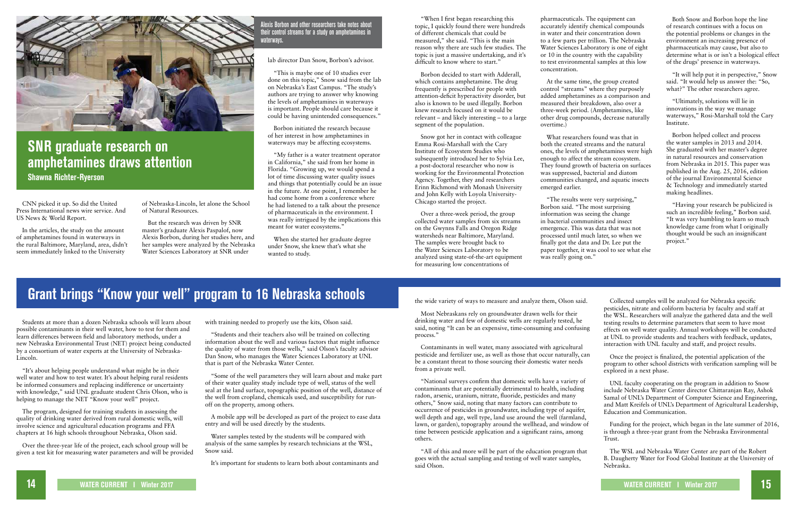# **Grant brings "Know your well" program to 16 Nebraska schools**

Students at more than a dozen Nebraska schools will learn about possible contaminants in their well water, how to test for them and learn differences between field and laboratory methods, under a new Nebraska Environmental Trust (NET) project being conducted by a consortium of water experts at the University of Nebraska-Lincoln.

"It's about helping people understand what might be in their well water and how to test water. It's about helping rural residents be informed consumers and replacing indifference or uncertainty with knowledge," said UNL graduate student Chris Olson, who is helping to manage the NET "Know your well" project.

The program, designed for training students in assessing the quality of drinking water derived from rural domestic wells, will involve science and agricultural education programs and FFA chapters at 16 high schools throughout Nebraska, Olson said.

Over the three-year life of the project, each school group will be given a test kit for measuring water parameters and will be provided with training needed to properly use the kits, Olson said.

"Students and their teachers also will be trained on collecting information about the well and various factors that might influence the quality of water from those wells," said Olson's faculty advisor Dan Snow, who manages the Water Sciences Laboratory at UNL that is part of the Nebraska Water Center.

"Some of the well parameters they will learn about and make part of their water quality study include type of well, status of the well seal at the land surface, topographic position of the well, distance of the well from cropland, chemicals used, and susceptibility for runoff on the property, among others.

A mobile app will be developed as part of the project to ease data entry and will be used directly by the students.

Water samples tested by the students will be compared with analysis of the same samples by research technicians at the WSL, Snow said.

It's important for students to learn both about contaminants and

CNN picked it up. So did the United Press International news wire service. And US News & World Report.

In the articles, the study on the amount of amphetamines found in waterways in the rural Baltimore, Maryland, area, didn't seem immediately linked to the University



### **SNR graduate research on amphetamines draws attention Shawna Richter-Ryerson**

of Nebraska-Lincoln, let alone the School of Natural Resources.

But the research was driven by SNR master's graduate Alexis Paspalof, now Alexis Borbon, during her studies here, and her samples were analyzed by the Nebraska Water Sciences Laboratory at SNR under

lab director Dan Snow, Borbon's advisor.

"This is maybe one of 10 studies ever done on this topic," Snow said from the lab on Nebraska's East Campus. "The study's authors are trying to answer why knowing the levels of amphetamines in waterways is important. People should care because it could be having unintended consequences."

> "The results were very surprising," Borbon said. "The most surprising information was seeing the change in bacterial communities and insect emergence. This was data that was not processed until much later, so when we finally got the data and Dr. Lee put the paper together, it was cool to see what else was really going on."

Borbon initiated the research because of her interest in how amphetamines in waterways may be affecting ecosystems.

"It will help put it in perspective," Snow said. "It would help us answer the: "So, what?" The other researchers agree.

"My father is a water treatment operator in California," she said from her home in Florida. "Growing up, we would spend a lot of time discussing water quality issues and things that potentially could be an issue in the future. At one point, I remember he had come home from a conference where he had listened to a talk about the presence of pharmaceuticals in the environment. I was really intrigued by the implications this meant for water ecosystems."

When she started her graduate degree under Snow, she knew that's what she wanted to study.

Alexis Borbon and other researchers take notes about their control streams for a study on amphetamines in waterways.

"When I first began researching this topic, I quickly found there were hundreds of different chemicals that could be measured," she said. "This is the main reason why there are such few studies. The topic is just a massive undertaking, and it's difficult to know where to start."

Borbon decided to start with Adderall, which contains amphetamine. The drug frequently is prescribed for people with attention-deficit hyperactivity disorder, but also is known to be used illegally. Borbon knew research focused on it would be relevant – and likely interesting – to a large segment of the population.

Snow got her in contact with colleague Emma Rosi-Marshall with the Cary Institute of Ecosystem Studies who subsequently introduced her to Sylvia Lee, a post-doctoral researcher who now is working for the Environmental Protection Agency. Together, they and researchers Erinn Richmond with Monash University and John Kelly with Loyola University-Chicago started the project.

Over a three-week period, the group collected water samples from six streams on the Gwynns Falls and Oregon Ridge watersheds near Baltimore, Maryland. The samples were brought back to the Water Sciences Laboratory to be analyzed using state-of-the-art equipment for measuring low concentrations of

pharmaceuticals. The equipment can accurately identify chemical compounds in water and their concentration down to a few parts per trillion. The Nebraska Water Sciences Laboratory is one of eight or 10 in the country with the capability to test environmental samples at this low

concentration.

At the same time, the group created control "streams" where they purposely added amphetamines as a comparison and measured their breakdown, also over a three-week period. (Amphetamines, like other drug compounds, decrease naturally overtime.)

What researchers found was that in both the created streams and the natural ones, the levels of amphetamines were high enough to affect the stream ecosystem. They found growth of bacteria on surfaces was suppressed, bacterial and diatom communities changed, and aquatic insects emerged earlier.

Both Snow and Borbon hope the line of research continues with a focus on the potential problems or changes in the environment an increasing presence of pharmaceuticals may cause, but also to determine what is or isn't a biological effect of the drugs' presence in waterways.

"Ultimately, solutions will lie in innovations in the way we manage waterways," Rosi-Marshall told the Cary Institute.

Borbon helped collect and process the water samples in 2013 and 2014. She graduated with her master's degree in natural resources and conservation from Nebraska in 2015. This paper was published in the Aug. 25, 2016, edition of the journal Environmental Science & Technology and immediately started making headlines.

"Having your research be publicized is such an incredible feeling," Borbon said. "It was very humbling to learn so much knowledge came from what I originally thought would be such an insignificant project."

the wide variety of ways to measure and analyze them, Olson said.

Most Nebraskans rely on groundwater drawn wells for their drinking water and few of domestic wells are regularly tested, he said, noting "It can be an expensive, time-consuming and confusir process."

Contaminants in well water, many associated with agricultural pesticide and fertilizer use, as well as those that occur naturally, can be a constant threat to those sourcing their domestic water needs from a private well.

"All of this and more will be part of the education program that goes with the actual sampling and testing of well water samples, said Olson.

"National surveys confirm that domestic wells have a variety of contaminants that are potentially detrimental to health, including radon, arsenic, uranium, nitrate, fluoride, pesticides and many others," Snow said, noting that many factors can contribute to occurrence of pesticides in groundwater, including type of aquifer, well depth and age, well type, land use around the well (farmland, lawn, or garden), topography around the wellhead, and window of time between pesticide application and a significant rains, among others. UNL faculty cooperating on the program in addition to Snow include Nebraska Water Center director Chittaranjan Ray, Ashok Samal of UNL's Department of Computer Science and Engineering, and Matt Kreifels of UNL's Department of Agricultural Leadership, Education and Communication. Funding for the project, which began in the late summer of 2016, is through a three-year grant from the Nebraska Environmental Trust.

|    | Collected samples will be analyzed for Nebraska specific<br>pesticides, nitrate and coliform bacteria by faculty and staff at                                                                                                                                                                                                              |
|----|--------------------------------------------------------------------------------------------------------------------------------------------------------------------------------------------------------------------------------------------------------------------------------------------------------------------------------------------|
| ıg | the WSL. Researchers will analyze the gathered data and the well<br>testing results to determine parameters that seem to have most<br>effects on well water quality. Annual workshops will be conducted<br>at UNL to provide students and teachers with feedback, updates,<br>interaction with UNL faculty and staff, and project results. |
| ın | Once the project is finalized, the potential application of the<br>program to other school districts with verification sampling will be<br>explored in a next phase.                                                                                                                                                                       |
|    | UNL faculty cooperating on the program in addition to Snow<br>include Nebraska Water Center director Chittaranjan Ray, Ashok<br>$\mathcal{C}$ limit $\mathcal{D}$ limit $\mathcal{C}$ limit $\mathcal{C}$                                                                                                                                  |

The WSL and Nebraska Water Center are part of the Robert B. Daugherty Water for Food Global Institute at the University of Nebraska.